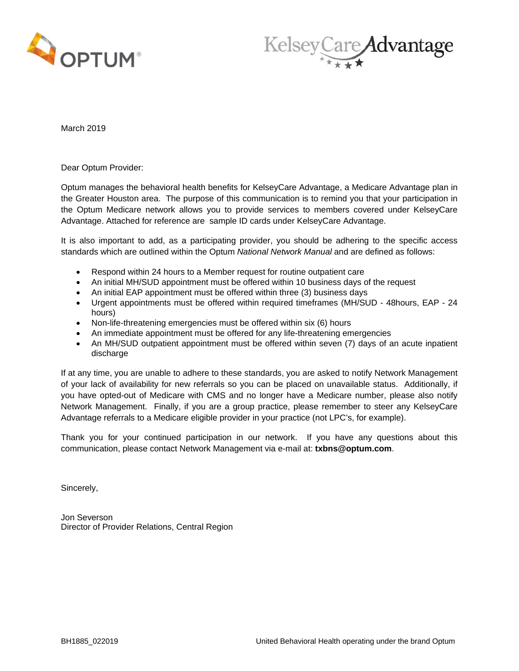



March 2019

Dear Optum Provider:

Optum manages the behavioral health benefits for KelseyCare Advantage, a Medicare Advantage plan in the Greater Houston area. The purpose of this communication is to remind you that your participation in the Optum Medicare network allows you to provide services to members covered under KelseyCare Advantage. Attached for reference are sample ID cards under KelseyCare Advantage.

It is also important to add, as a participating provider, you should be adhering to the specific access standards which are outlined within the Optum *National Network Manual* and are defined as follows:

- Respond within 24 hours to a Member request for routine outpatient care
- An initial MH/SUD appointment must be offered within 10 business days of the request
- An initial EAP appointment must be offered within three (3) business days
- Urgent appointments must be offered within required timeframes (MH/SUD 48hours, EAP 24 hours)
- Non-life-threatening emergencies must be offered within six (6) hours
- An immediate appointment must be offered for any life-threatening emergencies
- An MH/SUD outpatient appointment must be offered within seven (7) days of an acute inpatient discharge

If at any time, you are unable to adhere to these standards, you are asked to notify Network Management of your lack of availability for new referrals so you can be placed on unavailable status. Additionally, if you have opted-out of Medicare with CMS and no longer have a Medicare number, please also notify Network Management. Finally, if you are a group practice, please remember to steer any KelseyCare Advantage referrals to a Medicare eligible provider in your practice (not LPC's, for example).

Thank you for your continued participation in our network. If you have any questions about this communication, please contact Network Management via e-mail at: **txbns@optum.com**.

Sincerely,

Jon Severson Director of Provider Relations, Central Region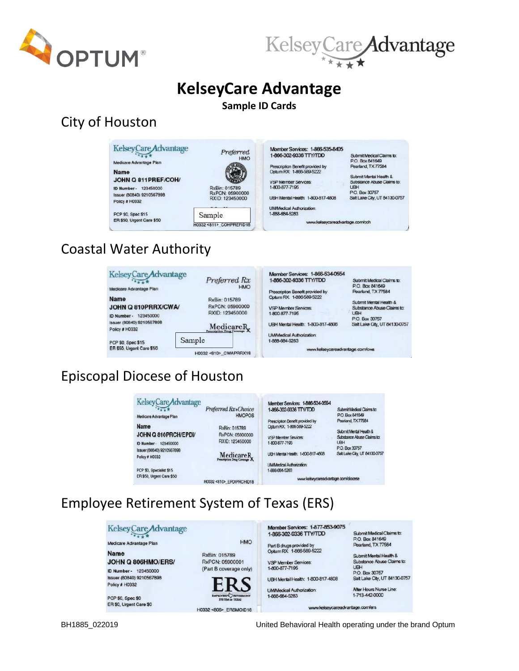



Submit Medical Claims to:

Submit Mental Health &

Substance Abuse Claims to:

P.O. Box 30757<br>Salt Lake City, UT 84130-0757

P.O. Box 841649<br>Pearland, TX 77584

P.O. Box 30757

**UBH** 

# **KelseyCare Advantage**

### **Sample ID Cards**

### City of Houston



Medicare Advantage Plan **Name** JOHN Q 811 PREF/COH/ **ID Number - 123450000** 

Issuer (80840) 9210567898

ER \$50, Urgent Care \$50

Policy # H0332

PCP \$0, Spec \$15



Sample

H0332 <811> COHPREFID18

Preferred

Member Services: 1-866-535-8405<br>1-866-302-9336 TTY/TDD

Prescription Benefit provided by<br>Optum RX: 1-866-589-5222

VSP Member Services:

1-800-877-7195

UBH Mental Health: 1-800-817-4808

UM/Medical Authorization: 1-888-684-5283

www.kelseycareadvantage.com/coh

## Coastal Water Authority

| <b>KelseyCare</b> Advantage<br>Preferred Rx | Member Services: 1-866-534-0554<br>1-866-302-9336 TTY/TDD                                            | Submit Medical Claims to:<br>P.O. Box 841649                   |
|---------------------------------------------|------------------------------------------------------------------------------------------------------|----------------------------------------------------------------|
|                                             | Prescription Benefit provided by                                                                     | Pearland, TX 77584                                             |
|                                             | Optum RX: 1-866-589-5222                                                                             |                                                                |
|                                             |                                                                                                      | Submit Mental Health &                                         |
|                                             |                                                                                                      | Substance Abuse Claims to:<br><b>UBH</b>                       |
|                                             |                                                                                                      | P.O. Box 30757                                                 |
|                                             | UBH Mental Health: 1-800-817-4808                                                                    | Salt Lake City, UT 84130-075                                   |
|                                             | <b>UMMedical Authorization:</b>                                                                      |                                                                |
|                                             |                                                                                                      |                                                                |
| H0332<810> CWAPRRX18                        | www.kelseycareadvantage.com/cwa                                                                      |                                                                |
|                                             | <b>HMO</b><br>RxBin: 015789<br>RxPCN: 05900000<br>RXID: 123450000<br>Medicare <sub>R</sub><br>Sample | <b>VSP Member Services</b><br>1-800-877-7195<br>1-888-684-5283 |

# Episcopal Diocese of Houston

| Kelsey Care Advantage     | Preferred Rx+Choice     | Member Services: 1-866-534-0554<br>1-866-302-9336 TTY/TDD | Submit Medical Claims to:     |
|---------------------------|-------------------------|-----------------------------------------------------------|-------------------------------|
| Medicare Advantage Plan   | <b>HMOPOS</b>           |                                                           | P.O. Box 841649               |
|                           |                         | Prescription Benefit provided by                          | Pearland, TX 77584            |
| Name                      | RxBin: 015789           | Optum RX: 1-866-589-5222                                  |                               |
| JOHN Q 810PRCH/EPDI/      | RxPCN: 05900000         |                                                           | Submit Mental Health &        |
|                           |                         | VSP Member Services:                                      | Substance Abuse Claims to:    |
| ID Number-123450000       | RXID: 123450000         | 1-800-877-7195                                            | <b>UBH</b>                    |
| Issuer (80840) 9210567898 |                         |                                                           | P.O. Box 30757                |
|                           |                         | UBH Mental Health: 1-800-817-4808                         | Salt Lake City, UT 84130-0757 |
| Policy # H0332            | Medicare <sub>R</sub>   |                                                           |                               |
|                           |                         | <b>UMMedical Authorization:</b>                           |                               |
| PCP \$0, Specialist \$15  |                         | 1-888-684-5283                                            |                               |
| ER \$50, Urgent Care \$50 |                         |                                                           |                               |
|                           | H0332<810> EPDIPRCHID18 | www.kelseycareadvantage.com/diocese                       |                               |

## Employee Retirement System of Texas (ERS)

| Kelsey Care Advantage     |                                                | Member Services: 1-877-853-9075   |                                              |
|---------------------------|------------------------------------------------|-----------------------------------|----------------------------------------------|
|                           |                                                | 1-866-302-9336 TTY/TDD            | Submit Medical Claims to:<br>P.O. Box 841649 |
| Medicare Advantage Plan   | <b>HMO</b>                                     | Part B drugs provided by          | Pearland, TX 77584                           |
| <b>Name</b>               | RxBin: 015789                                  | Optum RX: 1-866-589-5222          | Submit Mental Health &                       |
| JOHN Q 806HMO/ERS/        | RxPCN: 05900001                                | <b>VSP Member Services:</b>       | Substance Abuse Claims to:                   |
| 123450000<br>ID Number-   | (Part B coverage only)                         | 1.800-877-7195                    | UBH<br>P.O. Box 30757                        |
| Issuer (80840) 9210567898 |                                                | UBH Mental Health: 1-800-817-4808 | Salt Lake City, UT 84130-0757                |
| Policy # H0332            |                                                | <b>UMMedical Authorization:</b>   | After Hours Nurse Line:                      |
| PCP \$0, Spec \$0         | EMPLOYEES RETIREMENT<br><b>SYSTEM OF TEXAS</b> | 1-888-684-5283                    | 1-713-442-0000                               |
| ER \$0, Urgent Care \$0   | H0332 <806> ERSMOID18                          | www.kelseycareadvantage.com/ers   |                                              |

BH1885\_022019 United Behavioral Health operating under the brand Optum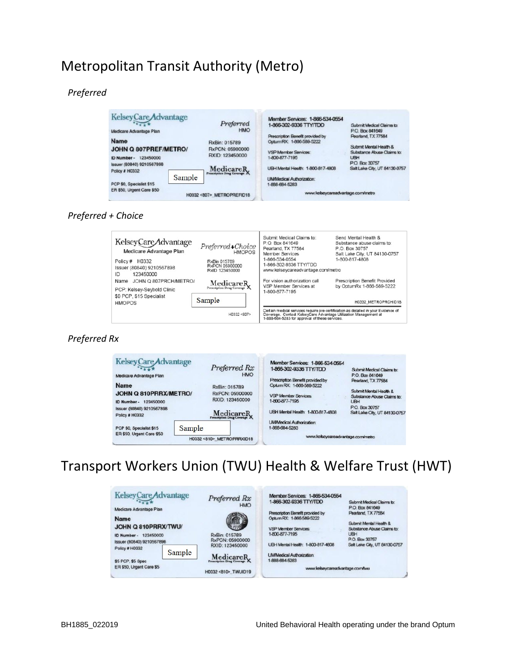### Metropolitan Transit Authority (Metro)

### *Preferred*

| <b>KelseyCare</b> Advantage<br>Medicare Advantage Plan                             | Preferred<br><b>HMO</b>                             | Member Services: 1-866-534-0554<br>1-866-302-9336 TTY/TDD                                   | Submit Medical Claims to:<br>P.O. Box 841649                               |
|------------------------------------------------------------------------------------|-----------------------------------------------------|---------------------------------------------------------------------------------------------|----------------------------------------------------------------------------|
| <b>Name</b><br>JOHN Q 807PREF/METRO/                                               | RxBin: 015789<br>RxPCN: 05900000<br>RXID: 123450000 | Prescription Benefit provided by<br>Optum RX: 1-866-589-5222<br><b>VSP Member Services:</b> | Pearland, TX 77584<br>Submit Mental Health &<br>Substance Abuse Claims to: |
| 123450000<br>ID Number -<br>Issuer (80840) 9210567898<br>Policy # H0332<br>Sample  | Medicare <sub>R</sub>                               | 1-800-877-7195<br>UBH Mental Health: 1-800-817-4808<br>UMMedical Authorization:             | <b>UBH</b><br>P.O. Box 30757<br>Salt Lake City, UT 84130-0757              |
| PCP \$0, Specialist \$15<br>ER \$50, Urgent Care \$50<br>H0332 <807> METROPREFID18 |                                                     | 1-888-684-5283<br>www.kelseycareadvantage.com/metro                                         |                                                                            |

#### *Preferred + Choice*



#### *Preferred Rx*



### Transport Workers Union (TWU) Health & Welfare Trust (HWT)

| <b>KelseyCare</b> Advantage<br>Medicare Advantage Plan                                      |        | Preferred Rx<br><b>HMO</b>                                      | Member Services: 1-866-534-0554<br>1-866-302-9336 TTY/TDD                                                                                          | Submit Medical Claims to:<br>P.O. Box 841649                                                                                                |
|---------------------------------------------------------------------------------------------|--------|-----------------------------------------------------------------|----------------------------------------------------------------------------------------------------------------------------------------------------|---------------------------------------------------------------------------------------------------------------------------------------------|
| <b>Name</b><br>JOHN Q 810PRRX/TWU/<br>123450000<br>ID Number -<br>Issuer (80840) 9210567898 |        | $7 - 10$<br>RxBin: 015789<br>RxPCN: 05900000<br>RXID: 123450000 | Prescription Benefit provided by<br>Optum RX: 1-866-589-5222<br><b>VSP Member Services:</b><br>1-800-877-7195<br>UBH Mental Health: 1-800-817-4808 | Pearland, TX 77584<br>Submit Mental Health &<br>Substance Abuse Claims to:<br><b>UBH</b><br>P.O. Box 30757<br>Salt Lake City, UT 84130-0757 |
| Policy # H0332<br>\$5 PCP, \$5 Spec                                                         | Sample | MedicareR                                                       | <b>UMMedical Authorization:</b><br>1-888-684-5283                                                                                                  |                                                                                                                                             |
| ER \$50, Urgent Care \$5                                                                    |        | H0332 <810> TWUID19                                             | www.kelseycareadvantage.com/twu                                                                                                                    |                                                                                                                                             |